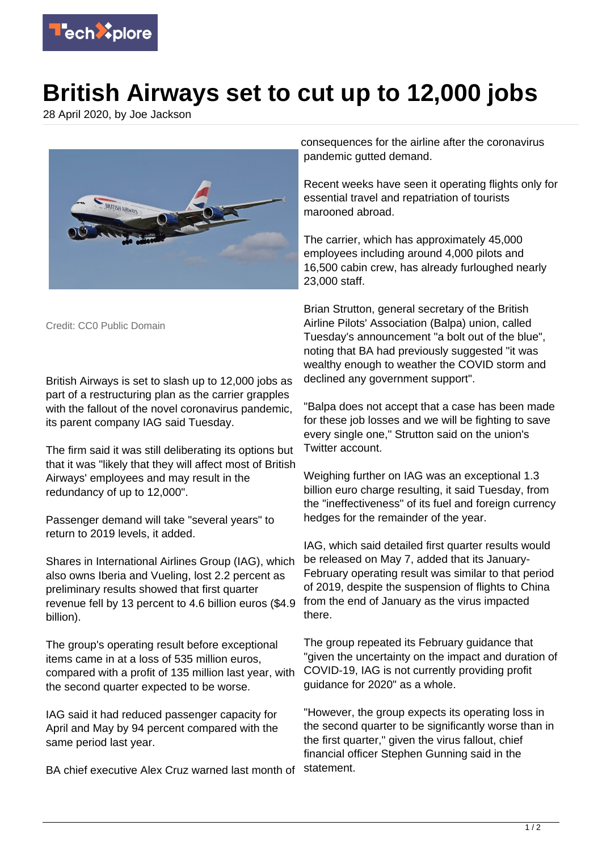

## **British Airways set to cut up to 12,000 jobs**

28 April 2020, by Joe Jackson



Credit: CC0 Public Domain

British Airways is set to slash up to 12,000 jobs as part of a restructuring plan as the carrier grapples with the fallout of the novel coronavirus pandemic, its parent company IAG said Tuesday.

The firm said it was still deliberating its options but that it was "likely that they will affect most of British Airways' employees and may result in the redundancy of up to 12,000".

Passenger demand will take "several years" to return to 2019 levels, it added.

Shares in International Airlines Group (IAG), which also owns Iberia and Vueling, lost 2.2 percent as preliminary results showed that first quarter revenue fell by 13 percent to 4.6 billion euros (\$4.9 billion).

The group's operating result before exceptional items came in at a loss of 535 million euros, compared with a profit of 135 million last year, with the second quarter expected to be worse.

IAG said it had reduced passenger capacity for April and May by 94 percent compared with the same period last year.

BA chief executive Alex Cruz warned last month of

consequences for the airline after the coronavirus pandemic gutted demand.

Recent weeks have seen it operating flights only for essential travel and repatriation of tourists marooned abroad.

The carrier, which has approximately 45,000 employees including around 4,000 pilots and 16,500 cabin crew, has already furloughed nearly 23,000 staff.

Brian Strutton, general secretary of the British Airline Pilots' Association (Balpa) union, called Tuesday's announcement "a bolt out of the blue", noting that BA had previously suggested "it was wealthy enough to weather the COVID storm and declined any government support".

"Balpa does not accept that a case has been made for these job losses and we will be fighting to save every single one," Strutton said on the union's Twitter account.

Weighing further on IAG was an exceptional 1.3 billion euro charge resulting, it said Tuesday, from the "ineffectiveness" of its fuel and foreign currency hedges for the remainder of the year.

IAG, which said detailed first quarter results would be released on May 7, added that its January-February operating result was similar to that period of 2019, despite the suspension of flights to China from the end of January as the virus impacted there.

The group repeated its February guidance that "given the uncertainty on the impact and duration of COVID-19, IAG is not currently providing profit guidance for 2020" as a whole.

"However, the group expects its operating loss in the second quarter to be significantly worse than in the first quarter," given the virus fallout, chief financial officer Stephen Gunning said in the statement.